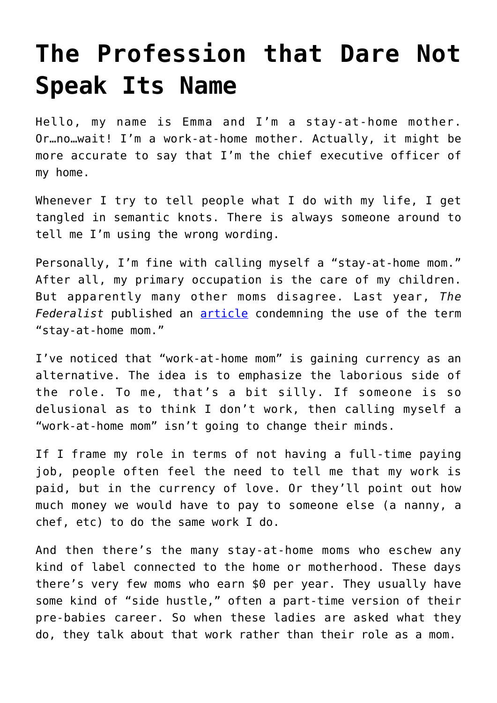## **[The Profession that Dare Not](https://intellectualtakeout.org/2019/01/the-profession-that-dare-not-speak-its-name/) [Speak Its Name](https://intellectualtakeout.org/2019/01/the-profession-that-dare-not-speak-its-name/)**

Hello, my name is Emma and I'm a stay-at-home mother. Or…no…wait! I'm a work-at-home mother. Actually, it might be more accurate to say that I'm the chief executive officer of my home.

Whenever I try to tell people what I do with my life, I get tangled in semantic knots. There is always someone around to tell me I'm using the wrong wording.

Personally, I'm fine with calling myself a "stay-at-home mom." After all, my primary occupation is the care of my children. But apparently many other moms disagree. Last year, *The Federalist* published an [article](http://thefederalist.com/2017/03/22/labelling-stay-home-mom-can-limit-potential/) condemning the use of the term "stay-at-home mom."

I've noticed that "work-at-home mom" is gaining currency as an alternative. The idea is to emphasize the laborious side of the role. To me, that's a bit silly. If someone is so delusional as to think I don't work, then calling myself a "work-at-home mom" isn't going to change their minds.

If I frame my role in terms of not having a full-time paying job, people often feel the need to tell me that my work is paid, but in the currency of love. Or they'll point out how much money we would have to pay to someone else (a nanny, a chef, etc) to do the same work I do.

And then there's the many stay-at-home moms who eschew any kind of label connected to the home or motherhood. These days there's very few moms who earn \$0 per year. They usually have some kind of "side hustle," often a part-time version of their pre-babies career. So when these ladies are asked what they do, they talk about that work rather than their role as a mom.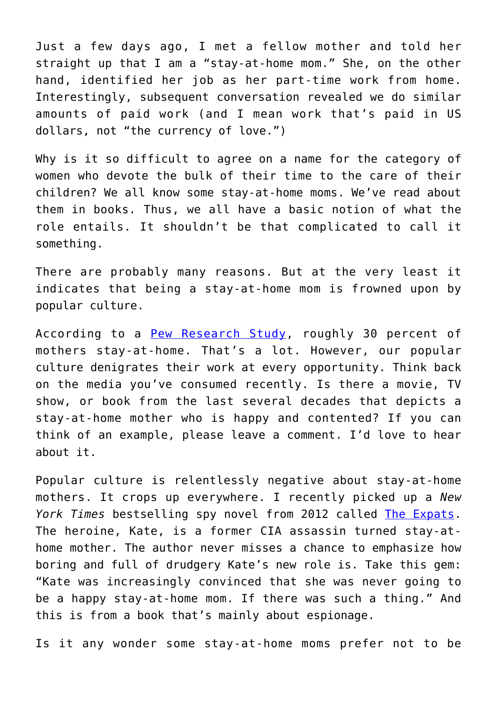Just a few days ago, I met a fellow mother and told her straight up that I am a "stay-at-home mom." She, on the other hand, identified her job as her part-time work from home. Interestingly, subsequent conversation revealed we do similar amounts of paid work (and I mean work that's paid in US dollars, not "the currency of love.")

Why is it so difficult to agree on a name for the category of women who devote the bulk of their time to the care of their children? We all know some stay-at-home moms. We've read about them in books. Thus, we all have a basic notion of what the role entails. It shouldn't be that complicated to call it something.

There are probably many reasons. But at the very least it indicates that being a stay-at-home mom is frowned upon by popular culture.

According to a [Pew Research Study](http://www.pewresearch.org/fact-tank/2014/04/08/7-key-findings-about-stay-at-home-moms/), roughly 30 percent of mothers stay-at-home. That's a lot. However, our popular culture denigrates their work at every opportunity. Think back on the media you've consumed recently. Is there a movie, TV show, or book from the last several decades that depicts a stay-at-home mother who is happy and contented? If you can think of an example, please leave a comment. I'd love to hear about it.

Popular culture is relentlessly negative about stay-at-home mothers. It crops up everywhere. I recently picked up a *New York Times* bestselling spy novel from 2012 called [The Expats.](https://www.amazon.com/Expats-Novel-Chris-Pavone/dp/0451498941) The heroine, Kate, is a former CIA assassin turned stay-athome mother. The author never misses a chance to emphasize how boring and full of drudgery Kate's new role is. Take this gem: "Kate was increasingly convinced that she was never going to be a happy stay-at-home mom. If there was such a thing." And this is from a book that's mainly about espionage.

Is it any wonder some stay-at-home moms prefer not to be